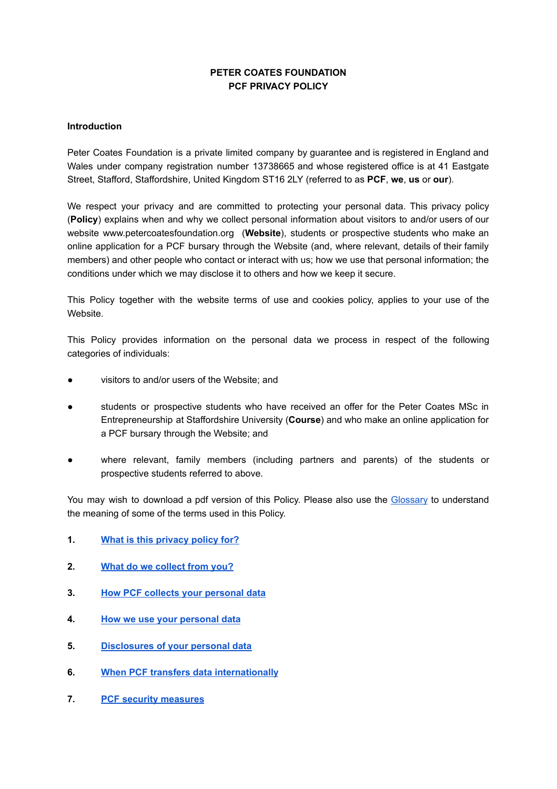# **PETER COATES FOUNDATION PCF PRIVACY POLICY**

## **Introduction**

Peter Coates Foundation is a private limited company by guarantee and is registered in England and Wales under company registration number 13738665 and whose registered office is at 41 Eastgate Street, Stafford, Staffordshire, United Kingdom ST16 2LY (referred to as **PCF**, **we**, **us** or **our**).

We respect your privacy and are committed to protecting your personal data. This privacy policy (**Policy**) explains when and why we collect personal information about visitors to and/or users of our website [www.petercoatesfoundation.org](http://www.petercoatesfoundation.org/) (**Website**), students or prospective students who make an online application for a PCF bursary through the Website (and, where relevant, details of their family members) and other people who contact or interact with us; how we use that personal information; the conditions under which we may disclose it to others and how we keep it secure.

This Policy together with the website terms of use and cookies policy, applies to your use of the Website.

This Policy provides information on the personal data we process in respect of the following categories of individuals:

- visitors to and/or users of the Website; and
- students or prospective students who have received an offer for the Peter Coates MSc in Entrepreneurship at Staffordshire University (**Course**) and who make an online application for a PCF bursary through the Website; and
- where relevant, family members (including partners and parents) of the students or prospective students referred to above.

You may wish to download a pdf version of this Policy. Please also use the [Glossary](#page-11-0) to understand the meaning of some of the terms used in this Policy.

- **1. What is this [privacy](#page-1-0) policy for?**
- **2. What do we [collect](#page-2-0) from you?**
- **3. How PCF collects your [personal](#page-4-0) data**
- **4. How we use your [personal](#page-5-0) data**
- **5. [Disclosures](#page-8-0) of your personal data**
- **6. When PCF transfers data [internationally](#page-9-0)**
- **7. PCF security [measures](#page-9-1)**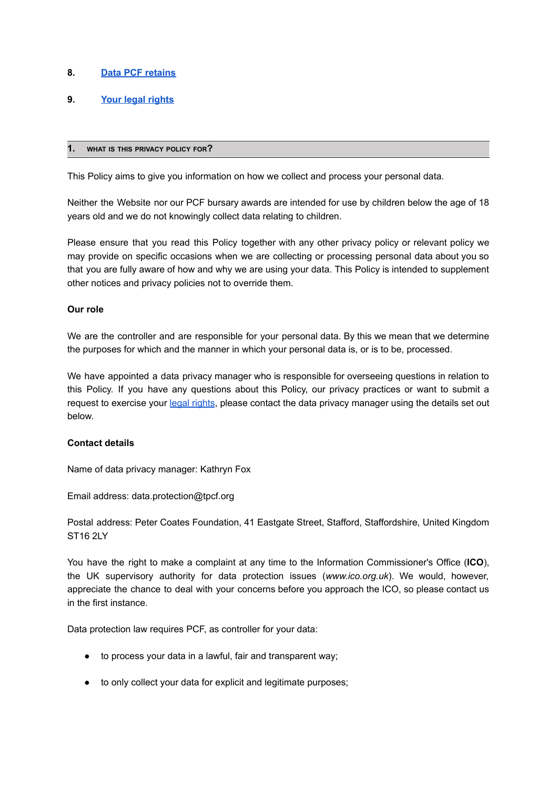# **8. Data PCF [retains](#page-10-0)**

## **9. Your legal [rights](#page-10-1)**

#### <span id="page-1-0"></span>**1. WHAT IS THIS PRIVACY POLICY FOR?**

This Policy aims to give you information on how we collect and process your personal data.

Neither the Website nor our PCF bursary awards are intended for use by children below the age of 18 years old and we do not knowingly collect data relating to children.

Please ensure that you read this Policy together with any other privacy policy or relevant policy we may provide on specific occasions when we are collecting or processing personal data about you so that you are fully aware of how and why we are using your data. This Policy is intended to supplement other notices and privacy policies not to override them.

## **Our role**

We are the controller and are responsible for your personal data. By this we mean that we determine the purposes for which and the manner in which your personal data is, or is to be, processed.

We have appointed a data privacy manager who is responsible for overseeing questions in relation to this Policy. If you have any questions about this Policy, our privacy practices or want to submit a request to exercise your legal [rights](#page-10-1), please contact the data privacy manager using the details set out below.

## <span id="page-1-1"></span>**Contact details**

Name of data privacy manager: Kathryn Fox

Email address: [data.protection@tpcf.org](mailto:data.protection@tpcf.org)

Postal address: Peter Coates Foundation, 41 Eastgate Street, Stafford, Staffordshire, United Kingdom ST16 2LY

You have the right to make a complaint at any time to the Information Commissioner's Office (**ICO**), the UK supervisory authority for data protection issues (*[www.ico.org.uk](http://www.ico.org.uk/)*). We would, however, appreciate the chance to deal with your concerns before you approach the ICO, so please contact us in the first instance.

Data protection law requires PCF, as controller for your data:

- to process your data in a lawful, fair and transparent way;
- to only collect your data for explicit and legitimate purposes;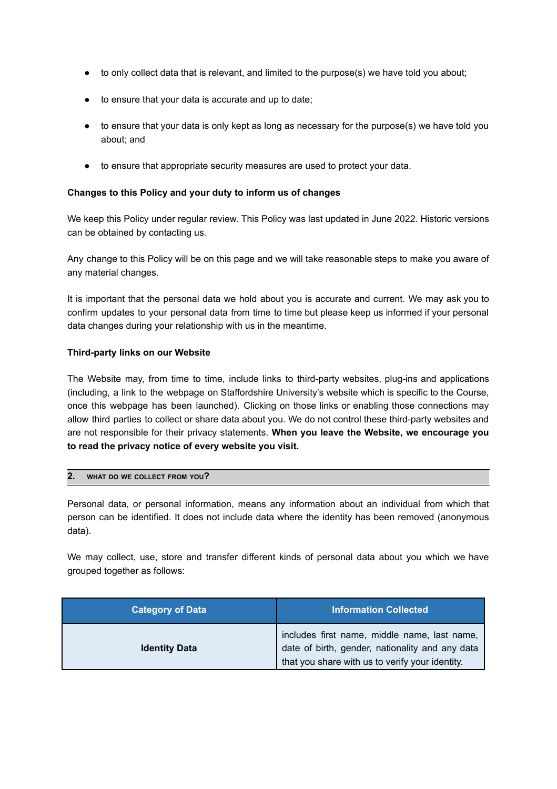- $\bullet$  to only collect data that is relevant, and limited to the purpose(s) we have told you about;
- to ensure that your data is accurate and up to date;
- $\bullet$  to ensure that your data is only kept as long as necessary for the purpose(s) we have told you about; and
- to ensure that appropriate security measures are used to protect your data.

#### **Changes to this Policy and your duty to inform us of changes**

We keep this Policy under regular review. This Policy was last updated in June 2022. Historic versions can be obtained by contacting us.

Any change to this Policy will be on this page and we will take reasonable steps to make you aware of any material changes.

It is important that the personal data we hold about you is accurate and current. We may ask you to confirm updates to your personal data from time to time but please keep us informed if your personal data changes during your relationship with us in the meantime.

## **Third-party links on our Website**

The Website may, from time to time, include links to third-party websites, plug-ins and applications (including, a link to the webpage on Staffordshire University's website which is specific to the Course, once this webpage has been launched). Clicking on those links or enabling those connections may allow third parties to collect or share data about you. We do not control these third-party websites and are not responsible for their privacy statements. **When you leave the Website, we encourage you to read the privacy notice of every website you visit.**

# <span id="page-2-0"></span>**2. WHAT DO WE COLLECT FROM YOU?**

Personal data, or personal information, means any information about an individual from which that person can be identified. It does not include data where the identity has been removed (anonymous data).

We may collect, use, store and transfer different kinds of personal data about you which we have grouped together as follows:

| <b>Category of Data</b> | <b>Information Collected</b>                                                                                                                       |
|-------------------------|----------------------------------------------------------------------------------------------------------------------------------------------------|
| <b>Identity Data</b>    | includes first name, middle name, last name,<br>date of birth, gender, nationality and any data<br>that you share with us to verify your identity. |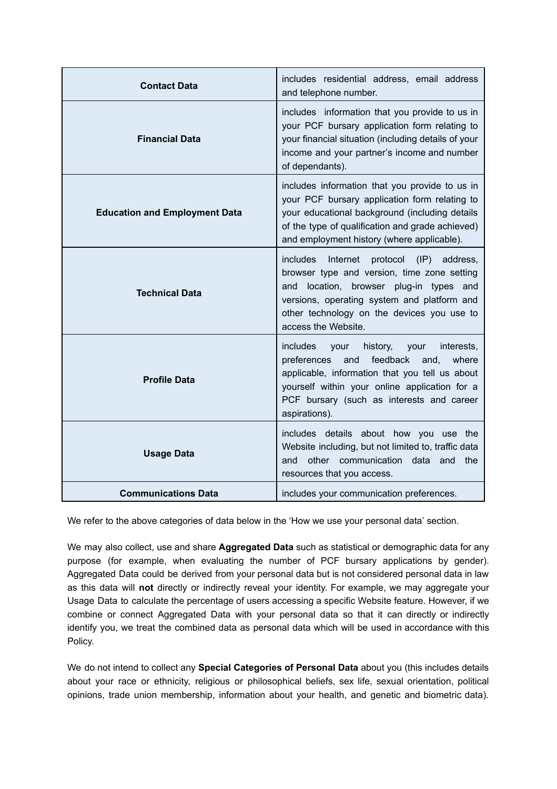| <b>Contact Data</b>                  | includes residential address, email address<br>and telephone number.                                                                                                                                                                                                                 |
|--------------------------------------|--------------------------------------------------------------------------------------------------------------------------------------------------------------------------------------------------------------------------------------------------------------------------------------|
| <b>Financial Data</b>                | includes information that you provide to us in<br>your PCF bursary application form relating to<br>your financial situation (including details of your<br>income and your partner's income and number<br>of dependants).                                                             |
| <b>Education and Employment Data</b> | includes information that you provide to us in<br>your PCF bursary application form relating to<br>your educational background (including details<br>of the type of qualification and grade achieved)<br>and employment history (where applicable).                                  |
| <b>Technical Data</b>                | <i>includes</i><br>Internet<br>protocol<br>$(\mathsf{IP})$<br>address,<br>browser type and version, time zone setting<br>and location, browser plug-in types and<br>versions, operating system and platform and<br>other technology on the devices you use to<br>access the Website. |
| <b>Profile Data</b>                  | includes<br>history,<br>your<br>interests,<br>your<br>feedback<br>where<br>preferences<br>and,<br>and<br>applicable, information that you tell us about<br>yourself within your online application for a<br>PCF bursary (such as interests and career<br>aspirations).               |
| <b>Usage Data</b>                    | includes details about how you use the<br>Website including, but not limited to, traffic data<br>other communication data and the<br>and<br>resources that you access.                                                                                                               |
| <b>Communications Data</b>           | includes your communication preferences.                                                                                                                                                                                                                                             |

We refer to the above categories of data below in the 'How we use your personal data' section.

We may also collect, use and share **Aggregated Data** such as statistical or demographic data for any purpose (for example, when evaluating the number of PCF bursary applications by gender). Aggregated Data could be derived from your personal data but is not considered personal data in law as this data will **not** directly or indirectly reveal your identity. For example, we may aggregate your Usage Data to calculate the percentage of users accessing a specific Website feature. However, if we combine or connect Aggregated Data with your personal data so that it can directly or indirectly identify you, we treat the combined data as personal data which will be used in accordance with this Policy.

We do not intend to collect any **Special Categories of Personal Data** about you (this includes details about your race or ethnicity, religious or philosophical beliefs, sex life, sexual orientation, political opinions, trade union membership, information about your health, and genetic and biometric data).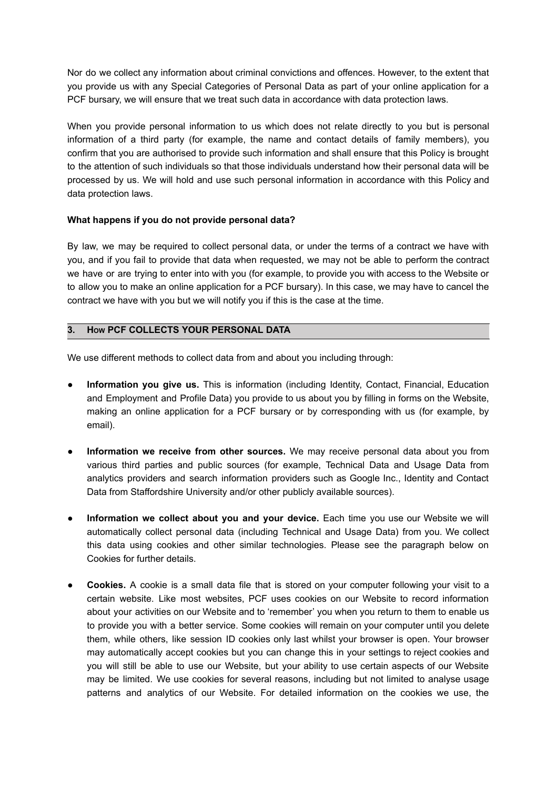Nor do we collect any information about criminal convictions and offences. However, to the extent that you provide us with any Special Categories of Personal Data as part of your online application for a PCF bursary, we will ensure that we treat such data in accordance with data protection laws.

When you provide personal information to us which does not relate directly to you but is personal information of a third party (for example, the name and contact details of family members), you confirm that you are authorised to provide such information and shall ensure that this Policy is brought to the attention of such individuals so that those individuals understand how their personal data will be processed by us. We will hold and use such personal information in accordance with this Policy and data protection laws.

# **What happens if you do not provide personal data?**

By law, we may be required to collect personal data, or under the terms of a contract we have with you, and if you fail to provide that data when requested, we may not be able to perform the contract we have or are trying to enter into with you (for example, to provide you with access to the Website or to allow you to make an online application for a PCF bursary). In this case, we may have to cancel the contract we have with you but we will notify you if this is the case at the time.

# <span id="page-4-0"></span>**3. HOW PCF COLLECTS YOUR PERSONAL DATA**

We use different methods to collect data from and about you including through:

- **Information you give us.** This is information (including Identity, Contact, Financial, Education and Employment and Profile Data) you provide to us about you by filling in forms on the Website, making an online application for a PCF bursary or by corresponding with us (for example, by email).
- **Information we receive from other sources.** We may receive personal data about you from various third parties and public sources (for example, Technical Data and Usage Data from analytics providers and search information providers such as Google Inc., Identity and Contact Data from Staffordshire University and/or other publicly available sources).
- **Information we collect about you and your device.** Each time you use our Website we will automatically collect personal data (including Technical and Usage Data) from you. We collect this data using cookies and other similar technologies. Please see the paragraph below on Cookies for further details.
- **Cookies.** A cookie is a small data file that is stored on your computer following your visit to a certain website. Like most websites, PCF uses cookies on our Website to record information about your activities on our Website and to 'remember' you when you return to them to enable us to provide you with a better service. Some cookies will remain on your computer until you delete them, while others, like session ID cookies only last whilst your browser is open. Your browser may automatically accept cookies but you can change this in your settings to reject cookies and you will still be able to use our Website, but your ability to use certain aspects of our Website may be limited. We use cookies for several reasons, including but not limited to analyse usage patterns and analytics of our Website. For detailed information on the cookies we use, the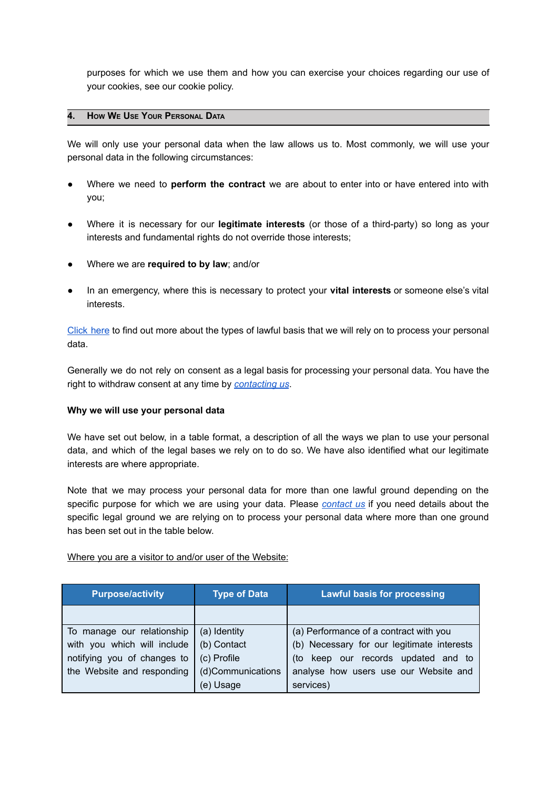purposes for which we use them and how you can exercise your choices regarding our use of your cookies, see our cookie policy.

## <span id="page-5-0"></span>**4. HOW W<sup>E</sup> USE YOUR PERSONAL DATA**

We will only use your personal data when the law allows us to. Most commonly, we will use your personal data in the following circumstances:

- Where we need to **perform the contract** we are about to enter into or have entered into with you;
- Where it is necessary for our **legitimate interests** (or those of a third-party) so long as your interests and fundamental rights do not override those interests;
- Where we are **required to by law**; and/or
- In an emergency, where this is necessary to protect your **vital interests** or someone else's vital interests.

[Click](#page-11-1) here to find out more about the types of lawful basis that we will rely on to process your personal data.

Generally we do not rely on consent as a legal basis for processing your personal data. You have the right to withdraw consent at any time by *[contacting](#page-1-1) us*.

## **Why we will use your personal data**

We have set out below, in a table format, a description of all the ways we plan to use your personal data, and which of the legal bases we rely on to do so. We have also identified what our legitimate interests are where appropriate.

Note that we may process your personal data for more than one lawful ground depending on the specific purpose for which we are using your data. Please *[contact](#page-1-1) us* if you need details about the specific legal ground we are relying on to process your personal data where more than one ground has been set out in the table below.

Where you are a visitor to and/or user of the Website:

| <b>Purpose/activity</b>     | <b>Type of Data</b> | <b>Lawful basis for processing</b>         |
|-----------------------------|---------------------|--------------------------------------------|
|                             |                     |                                            |
| To manage our relationship  | (a) Identity        | (a) Performance of a contract with you     |
| with you which will include | (b) Contact         | (b) Necessary for our legitimate interests |
| notifying you of changes to | (c) Profile         | (to keep our records updated and to        |
| the Website and responding  | (d)Communications   | analyse how users use our Website and      |
|                             | (e) Usage           | services)                                  |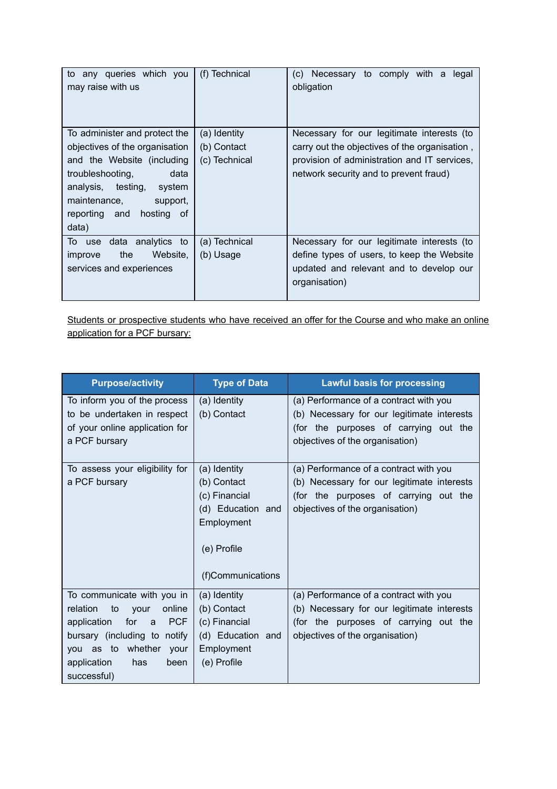| to any queries which you<br>may raise with us                                                                                                                                                                              | (f) Technical                                | Necessary to comply with a<br>(C)<br>legal<br>obligation                                                                                                                              |
|----------------------------------------------------------------------------------------------------------------------------------------------------------------------------------------------------------------------------|----------------------------------------------|---------------------------------------------------------------------------------------------------------------------------------------------------------------------------------------|
| To administer and protect the<br>objectives of the organisation<br>and the Website (including<br>troubleshooting,<br>data<br>analysis, testing,<br>system<br>maintenance,<br>support,<br>reporting and hosting of<br>data) | (a) Identity<br>(b) Contact<br>(c) Technical | Necessary for our legitimate interests (to<br>carry out the objectives of the organisation,<br>provision of administration and IT services,<br>network security and to prevent fraud) |
| To use data analytics to<br>the<br>Website,<br>improve<br>services and experiences                                                                                                                                         | (a) Technical<br>(b) Usage                   | Necessary for our legitimate interests (to<br>define types of users, to keep the Website<br>updated and relevant and to develop our<br>organisation)                                  |

Students or prospective students who have received an offer for the Course and who make an online application for a PCF bursary:

| <b>Purpose/activity</b>                                                                                                                                                                                           | <b>Type of Data</b>                                                                                                 | <b>Lawful basis for processing</b>                                                                                                                               |
|-------------------------------------------------------------------------------------------------------------------------------------------------------------------------------------------------------------------|---------------------------------------------------------------------------------------------------------------------|------------------------------------------------------------------------------------------------------------------------------------------------------------------|
| To inform you of the process<br>to be undertaken in respect<br>of your online application for<br>a PCF bursary                                                                                                    | (a) Identity<br>(b) Contact                                                                                         | (a) Performance of a contract with you<br>(b) Necessary for our legitimate interests<br>(for the purposes of carrying out the<br>objectives of the organisation) |
| To assess your eligibility for<br>a PCF bursary                                                                                                                                                                   | (a) Identity<br>(b) Contact<br>(c) Financial<br>(d) Education and<br>Employment<br>(e) Profile<br>(f)Communications | (a) Performance of a contract with you<br>(b) Necessary for our legitimate interests<br>(for the purposes of carrying out the<br>objectives of the organisation) |
| To communicate with you in<br>relation<br>online<br>to<br>vour<br>application<br>for<br><b>PCF</b><br>a<br>bursary (including to notify<br>you as to whether<br>vour<br>application<br>has<br>been<br>successful) | (a) Identity<br>(b) Contact<br>(c) Financial<br>(d) Education and<br>Employment<br>(e) Profile                      | (a) Performance of a contract with you<br>(b) Necessary for our legitimate interests<br>(for the purposes of carrying out the<br>objectives of the organisation) |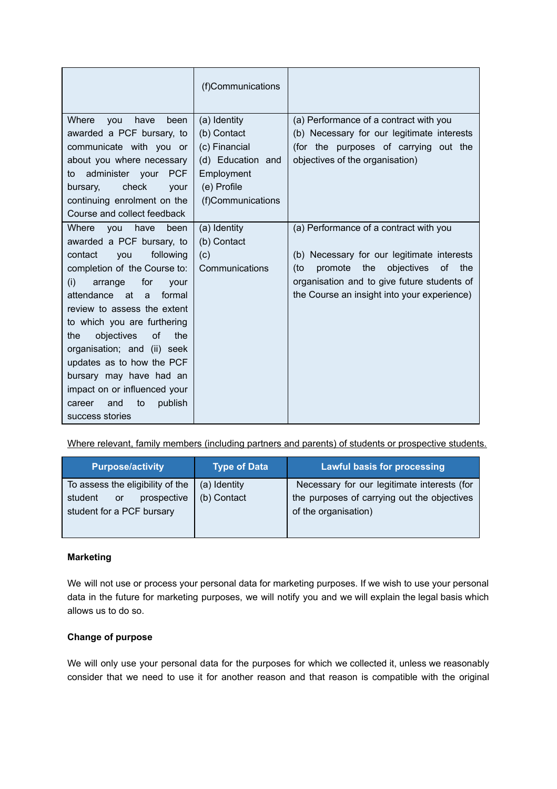|                                                                                                                                                                                                                                                                                                                                                                                                                                                                                         | (f)Communications                                                                                                   |                                                                                                                                                                                                                                     |
|-----------------------------------------------------------------------------------------------------------------------------------------------------------------------------------------------------------------------------------------------------------------------------------------------------------------------------------------------------------------------------------------------------------------------------------------------------------------------------------------|---------------------------------------------------------------------------------------------------------------------|-------------------------------------------------------------------------------------------------------------------------------------------------------------------------------------------------------------------------------------|
| been<br>Where<br>have<br>you<br>awarded a PCF bursary, to<br>communicate with you or<br>about you where necessary<br>administer your PCF<br>to<br>check<br>bursary.<br>your<br>continuing enrolment on the<br>Course and collect feedback                                                                                                                                                                                                                                               | (a) Identity<br>(b) Contact<br>(c) Financial<br>(d) Education and<br>Employment<br>(e) Profile<br>(f)Communications | (a) Performance of a contract with you<br>(b) Necessary for our legitimate interests<br>(for the purposes of carrying out the<br>objectives of the organisation)                                                                    |
| Where<br>have<br>been<br><b>VOU</b><br>awarded a PCF bursary, to<br>contact<br>you<br>following<br>completion of the Course to:<br>(i)<br>arrange<br>for<br>vour<br>formal<br>attendance at<br>a<br>review to assess the extent<br>to which you are furthering<br>objectives<br><sub>of</sub><br>the<br>the<br>organisation; and (ii) seek<br>updates as to how the PCF<br>bursary may have had an<br>impact on or influenced your<br>publish<br>and<br>to<br>career<br>success stories | (a) Identity<br>(b) Contact<br>(c)<br>Communications                                                                | (a) Performance of a contract with you<br>(b) Necessary for our legitimate interests<br>promote the<br>objectives<br>(to<br>0f<br>the<br>organisation and to give future students of<br>the Course an insight into your experience) |

Where relevant, family members (including partners and parents) of students or prospective students.

| <b>Purpose/activity</b>                                          | <b>Type of Data</b> | <b>Lawful basis for processing</b>                                  |
|------------------------------------------------------------------|---------------------|---------------------------------------------------------------------|
| To assess the eligibility of the                                 | (a) Identity        | Necessary for our legitimate interests (for                         |
| prospective<br>student<br><b>or</b><br>student for a PCF bursary | (b) Contact         | the purposes of carrying out the objectives<br>of the organisation) |
|                                                                  |                     |                                                                     |

# **Marketing**

We will not use or process your personal data for marketing purposes. If we wish to use your personal data in the future for marketing purposes, we will notify you and we will explain the legal basis which allows us to do so.

## **Change of purpose**

We will only use your personal data for the purposes for which we collected it, unless we reasonably consider that we need to use it for another reason and that reason is compatible with the original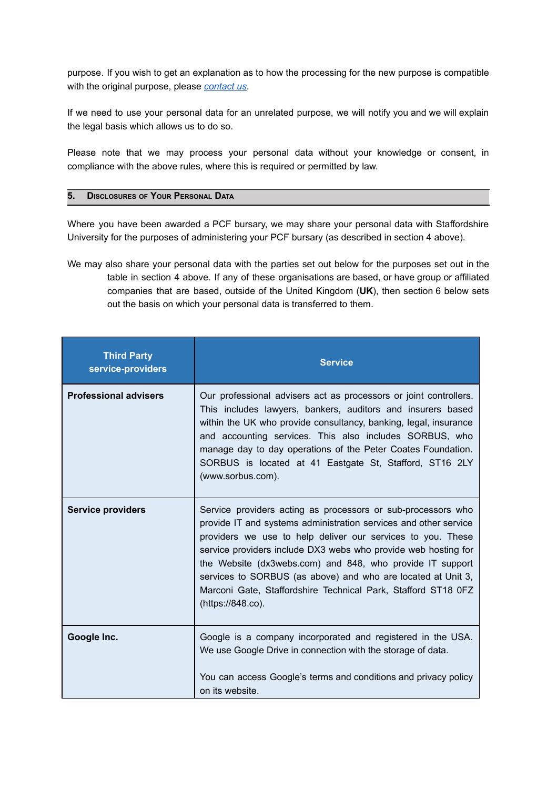purpose. If you wish to get an explanation as to how the processing for the new purpose is compatible with the original purpose, please *[contact](#page-1-1) us*.

If we need to use your personal data for an unrelated purpose, we will notify you and we will explain the legal basis which allows us to do so.

Please note that we may process your personal data without your knowledge or consent, in compliance with the above rules, where this is required or permitted by law.

# <span id="page-8-0"></span>**5. DISCLOSURES OF YOUR PERSONAL DATA**

Where you have been awarded a PCF bursary, we may share your personal data with Staffordshire University for the purposes of administering your PCF bursary (as described in section 4 above).

We may also share your personal data with the parties set out below for the purposes set out in the table in section 4 above. If any of these organisations are based, or have group or affiliated companies that are based, outside of the United Kingdom (**UK**), then section 6 below sets out the basis on which your personal data is transferred to them.

| <b>Third Party</b><br>service-providers | <b>Service</b>                                                                                                                                                                                                                                                                                                                                                                                                                                                                       |
|-----------------------------------------|--------------------------------------------------------------------------------------------------------------------------------------------------------------------------------------------------------------------------------------------------------------------------------------------------------------------------------------------------------------------------------------------------------------------------------------------------------------------------------------|
| <b>Professional advisers</b>            | Our professional advisers act as processors or joint controllers.<br>This includes lawyers, bankers, auditors and insurers based<br>within the UK who provide consultancy, banking, legal, insurance<br>and accounting services. This also includes SORBUS, who<br>manage day to day operations of the Peter Coates Foundation.<br>SORBUS is located at 41 Eastgate St, Stafford, ST16 2LY<br>(www.sorbus.com).                                                                      |
| <b>Service providers</b>                | Service providers acting as processors or sub-processors who<br>provide IT and systems administration services and other service<br>providers we use to help deliver our services to you. These<br>service providers include DX3 webs who provide web hosting for<br>the Website (dx3webs.com) and 848, who provide IT support<br>services to SORBUS (as above) and who are located at Unit 3,<br>Marconi Gate, Staffordshire Technical Park, Stafford ST18 0FZ<br>(https://848.co). |
| Google Inc.                             | Google is a company incorporated and registered in the USA.<br>We use Google Drive in connection with the storage of data.                                                                                                                                                                                                                                                                                                                                                           |
|                                         | You can access Google's terms and conditions and privacy policy<br>on its website.                                                                                                                                                                                                                                                                                                                                                                                                   |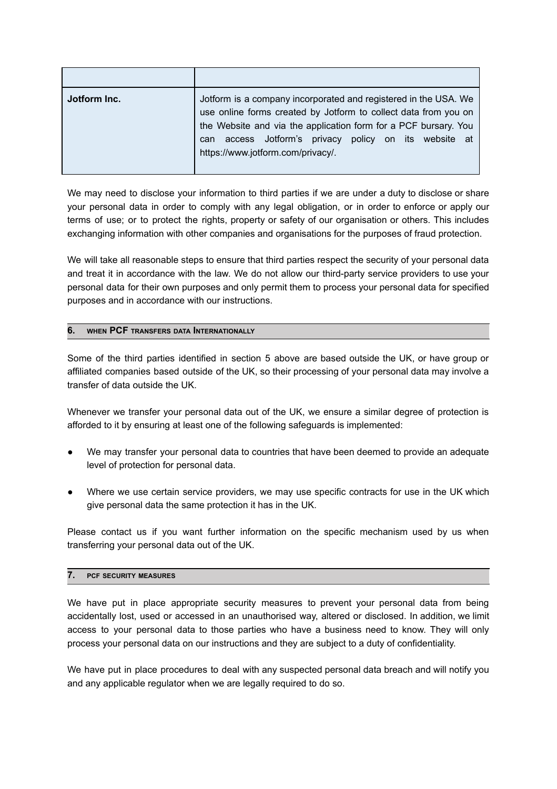| Jotform Inc. | Jotform is a company incorporated and registered in the USA. We<br>use online forms created by Jotform to collect data from you on<br>the Website and via the application form for a PCF bursary. You<br>access Jotform's privacy policy on its website at<br>can<br>https://www.jotform.com/privacy/. |
|--------------|--------------------------------------------------------------------------------------------------------------------------------------------------------------------------------------------------------------------------------------------------------------------------------------------------------|

We may need to disclose your information to third parties if we are under a duty to disclose or share your personal data in order to comply with any legal obligation, or in order to enforce or apply our terms of use; or to protect the rights, property or safety of our organisation or others. This includes exchanging information with other companies and organisations for the purposes of fraud protection.

We will take all reasonable steps to ensure that third parties respect the security of your personal data and treat it in accordance with the law. We do not allow our third-party service providers to use your personal data for their own purposes and only permit them to process your personal data for specified purposes and in accordance with our instructions.

## <span id="page-9-0"></span>**6. WHEN PCF TRANSFERS DATA INTERNATIONALLY**

Some of the third parties identified in section 5 above are based outside the UK, or have group or affiliated companies based outside of the UK, so their processing of your personal data may involve a transfer of data outside the UK.

Whenever we transfer your personal data out of the UK, we ensure a similar degree of protection is afforded to it by ensuring at least one of the following safeguards is implemented:

- We may transfer your personal data to countries that have been deemed to provide an adequate level of protection for personal data.
- Where we use certain service providers, we may use specific contracts for use in the UK which give personal data the same protection it has in the UK.

Please contact us if you want further information on the specific mechanism used by us when transferring your personal data out of the UK.

#### <span id="page-9-1"></span>**7. PCF SECURITY MEASURES**

We have put in place appropriate security measures to prevent your personal data from being accidentally lost, used or accessed in an unauthorised way, altered or disclosed. In addition, we limit access to your personal data to those parties who have a business need to know. They will only process your personal data on our instructions and they are subject to a duty of confidentiality.

We have put in place procedures to deal with any suspected personal data breach and will notify you and any applicable regulator when we are legally required to do so.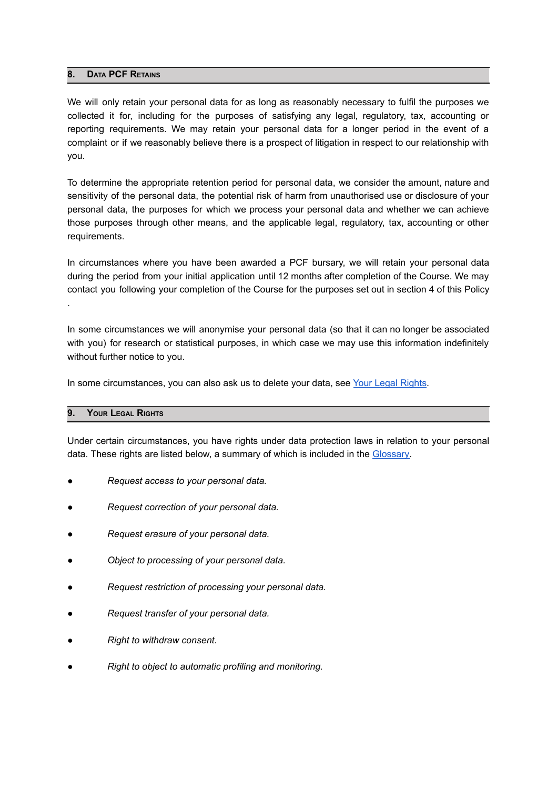#### <span id="page-10-0"></span>**8. DATA PCF RETAINS**

We will only retain your personal data for as long as reasonably necessary to fulfil the purposes we collected it for, including for the purposes of satisfying any legal, regulatory, tax, accounting or reporting requirements. We may retain your personal data for a longer period in the event of a complaint or if we reasonably believe there is a prospect of litigation in respect to our relationship with you.

To determine the appropriate retention period for personal data, we consider the amount, nature and sensitivity of the personal data, the potential risk of harm from unauthorised use or disclosure of your personal data, the purposes for which we process your personal data and whether we can achieve those purposes through other means, and the applicable legal, regulatory, tax, accounting or other requirements.

In circumstances where you have been awarded a PCF bursary, we will retain your personal data during the period from your initial application until 12 months after completion of the Course. We may contact you following your completion of the Course for the purposes set out in section 4 of this Policy .

In some circumstances we will anonymise your personal data (so that it can no longer be associated with you) for research or statistical purposes, in which case we may use this information indefinitely without further notice to you.

In some circumstances, you can also ask us to delete your data, see Your Legal [Rights.](#page-10-1)

#### <span id="page-10-1"></span>**9. YOUR LEGAL RIGHTS**

Under certain circumstances, you have rights under data protection laws in relation to your personal data. These rights are listed below, a summary of which is included in the [Glossary.](#page-11-0)

- *● Request access to your personal data.*
- *● Request correction of your personal data.*
- *● Request erasure of your personal data.*
- *● Object to processing of your personal data.*
- *● Request restriction of processing your personal data.*
- *● Request transfer of your personal data.*
- *● Right to withdraw consent.*
- *● Right to object to automatic profiling and monitoring.*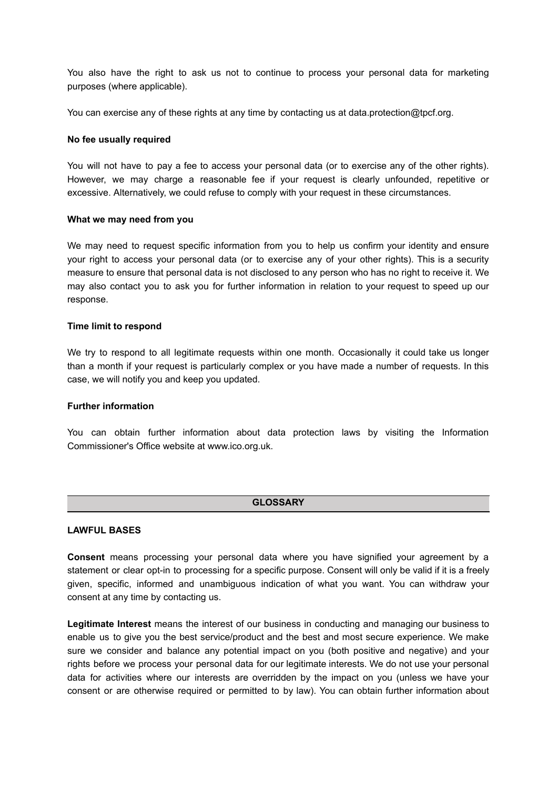You also have the right to ask us not to continue to process your personal data for marketing purposes (where applicable).

You can exercise any of these rights at any time by contacting us at [data.protection@tpcf.org](mailto:data.protection@tpcf.org).

#### **No fee usually required**

You will not have to pay a fee to access your personal data (or to exercise any of the other rights). However, we may charge a reasonable fee if your request is clearly unfounded, repetitive or excessive. Alternatively, we could refuse to comply with your request in these circumstances.

#### **What we may need from you**

We may need to request specific information from you to help us confirm your identity and ensure your right to access your personal data (or to exercise any of your other rights). This is a security measure to ensure that personal data is not disclosed to any person who has no right to receive it. We may also contact you to ask you for further information in relation to your request to speed up our response.

#### **Time limit to respond**

We try to respond to all legitimate requests within one month. Occasionally it could take us longer than a month if your request is particularly complex or you have made a number of requests. In this case, we will notify you and keep you updated.

## **Further information**

You can obtain further information about data protection laws by visiting the Information Commissioner's Office website at [www.ico.org.uk](http://www.ico.org.uk/).

## **GLOSSARY**

#### <span id="page-11-1"></span><span id="page-11-0"></span>**LAWFUL BASES**

**Consent** means processing your personal data where you have signified your agreement by a statement or clear opt-in to processing for a specific purpose. Consent will only be valid if it is a freely given, specific, informed and unambiguous indication of what you want. You can withdraw your consent at any time by contacting us.

**Legitimate Interest** means the interest of our business in conducting and managing our business to enable us to give you the best service/product and the best and most secure experience. We make sure we consider and balance any potential impact on you (both positive and negative) and your rights before we process your personal data for our legitimate interests. We do not use your personal data for activities where our interests are overridden by the impact on you (unless we have your consent or are otherwise required or permitted to by law). You can obtain further information about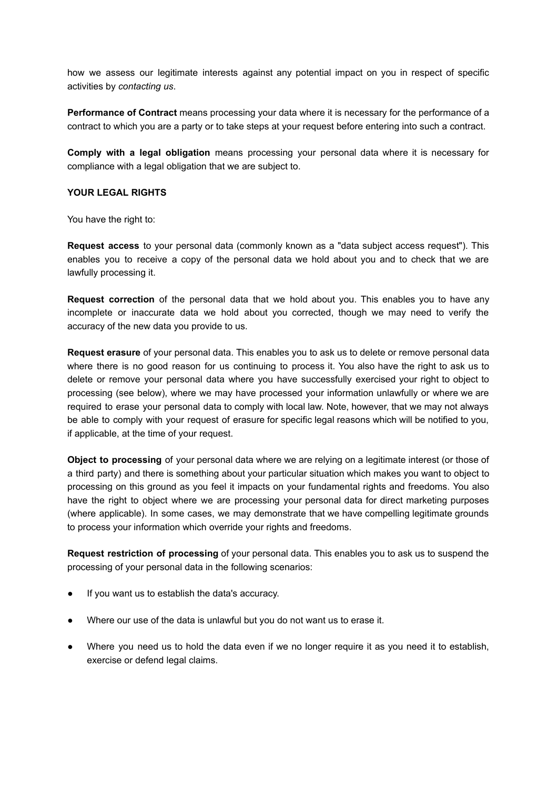how we assess our legitimate interests against any potential impact on you in respect of specific activities by *contacting us*.

**Performance of Contract** means processing your data where it is necessary for the performance of a contract to which you are a party or to take steps at your request before entering into such a contract.

**Comply with a legal obligation** means processing your personal data where it is necessary for compliance with a legal obligation that we are subject to.

## **YOUR LEGAL RIGHTS**

You have the right to:

**Request access** to your personal data (commonly known as a "data subject access request"). This enables you to receive a copy of the personal data we hold about you and to check that we are lawfully processing it.

**Request correction** of the personal data that we hold about you. This enables you to have any incomplete or inaccurate data we hold about you corrected, though we may need to verify the accuracy of the new data you provide to us.

**Request erasure** of your personal data. This enables you to ask us to delete or remove personal data where there is no good reason for us continuing to process it. You also have the right to ask us to delete or remove your personal data where you have successfully exercised your right to object to processing (see below), where we may have processed your information unlawfully or where we are required to erase your personal data to comply with local law. Note, however, that we may not always be able to comply with your request of erasure for specific legal reasons which will be notified to you, if applicable, at the time of your request.

**Object to processing** of your personal data where we are relying on a legitimate interest (or those of a third party) and there is something about your particular situation which makes you want to object to processing on this ground as you feel it impacts on your fundamental rights and freedoms. You also have the right to object where we are processing your personal data for direct marketing purposes (where applicable). In some cases, we may demonstrate that we have compelling legitimate grounds to process your information which override your rights and freedoms.

**Request restriction of processing** of your personal data. This enables you to ask us to suspend the processing of your personal data in the following scenarios:

- If you want us to establish the data's accuracy.
- Where our use of the data is unlawful but you do not want us to erase it.
- Where you need us to hold the data even if we no longer require it as you need it to establish, exercise or defend legal claims.